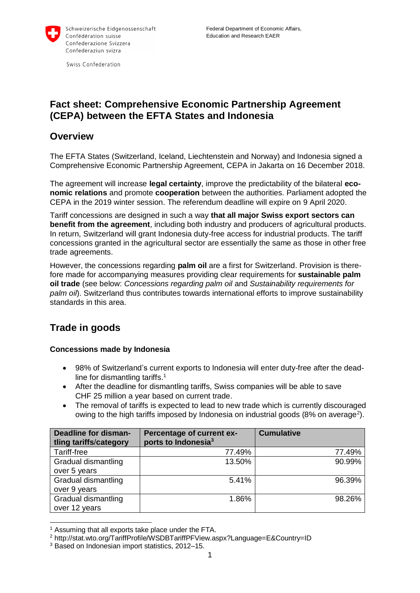

Swiss Confederation

## **Fact sheet: Comprehensive Economic Partnership Agreement (CEPA) between the EFTA States and Indonesia**

## **Overview**

The EFTA States (Switzerland, Iceland, Liechtenstein and Norway) and Indonesia signed a Comprehensive Economic Partnership Agreement, CEPA in Jakarta on 16 December 2018.

The agreement will increase **legal certainty**, improve the predictability of the bilateral **economic relations** and promote **cooperation** between the authorities. Parliament adopted the CEPA in the 2019 winter session. The referendum deadline will expire on 9 April 2020.

Tariff concessions are designed in such a way **that all major Swiss export sectors can benefit from the agreement**, including both industry and producers of agricultural products. In return, Switzerland will grant Indonesia duty-free access for industrial products. The tariff concessions granted in the agricultural sector are essentially the same as those in other free trade agreements.

However, the concessions regarding **palm oil** are a first for Switzerland. Provision is therefore made for accompanying measures providing clear requirements for **sustainable palm oil trade** (see below: *Concessions regarding palm oil* and *Sustainability requirements for palm oil*). Switzerland thus contributes towards international efforts to improve sustainability standards in this area.

# **Trade in goods**

### **Concessions made by Indonesia**

- 98% of Switzerland's current exports to Indonesia will enter duty-free after the deadline for dismantling tariffs. 1
- After the deadline for dismantling tariffs, Swiss companies will be able to save CHF 25 million a year based on current trade.
- The removal of tariffs is expected to lead to new trade which is currently discouraged owing to the high tariffs imposed by Indonesia on industrial goods (8% on average<sup>2</sup>).

| <b>Deadline for disman-</b><br>tling tariffs/category | Percentage of current ex-<br>ports to Indonesia <sup>3</sup> | <b>Cumulative</b> |
|-------------------------------------------------------|--------------------------------------------------------------|-------------------|
| Tariff-free                                           | 77.49%                                                       | 77.49%            |
| Gradual dismantling                                   | 13.50%                                                       | 90.99%            |
| over 5 years                                          |                                                              |                   |
| Gradual dismantling                                   | 5.41%                                                        | 96.39%            |
| over 9 years                                          |                                                              |                   |
| Gradual dismantling                                   | 1.86%                                                        | 98.26%            |
| over 12 years                                         |                                                              |                   |

  $1$  Assuming that all exports take place under the FTA.

<sup>2</sup> http://stat.wto.org/TariffProfile/WSDBTariffPFView.aspx?Language=E&Country=ID

<sup>3</sup> Based on Indonesian import statistics, 2012–15.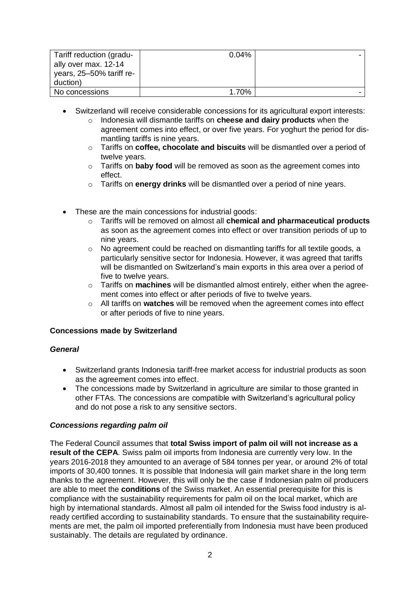| Tariff reduction (gradu- | $0.04\%$ |  |
|--------------------------|----------|--|
| ally over max. 12-14     |          |  |
| years, 25-50% tariff re- |          |  |
| duction)                 |          |  |
| No concessions           | 1.70%    |  |

- Switzerland will receive considerable concessions for its agricultural export interests:
	- o Indonesia will dismantle tariffs on **cheese and dairy products** when the agreement comes into effect, or over five years. For yoghurt the period for dismantling tariffs is nine years.
	- o Tariffs on **coffee, chocolate and biscuits** will be dismantled over a period of twelve years.
	- o Tariffs on **baby food** will be removed as soon as the agreement comes into effect.
	- o Tariffs on **energy drinks** will be dismantled over a period of nine years.
- These are the main concessions for industrial goods:
	- o Tariffs will be removed on almost all **chemical and pharmaceutical products** as soon as the agreement comes into effect or over transition periods of up to nine years.
	- $\circ$  No agreement could be reached on dismantling tariffs for all textile goods, a particularly sensitive sector for Indonesia. However, it was agreed that tariffs will be dismantled on Switzerland's main exports in this area over a period of five to twelve years.
	- o Tariffs on **machines** will be dismantled almost entirely, either when the agreement comes into effect or after periods of five to twelve years.
	- o All tariffs on **watches** will be removed when the agreement comes into effect or after periods of five to nine years.

#### **Concessions made by Switzerland**

#### *General*

- Switzerland grants Indonesia tariff-free market access for industrial products as soon as the agreement comes into effect.
- The concessions made by Switzerland in agriculture are similar to those granted in other FTAs. The concessions are compatible with Switzerland's agricultural policy and do not pose a risk to any sensitive sectors.

#### *Concessions regarding palm oil*

The Federal Council assumes that **total Swiss import of palm oil will not increase as a result of the CEPA**. Swiss palm oil imports from Indonesia are currently very low. In the years 2016-2018 they amounted to an average of 584 tonnes per year, or around 2% of total imports of 30,400 tonnes. It is possible that Indonesia will gain market share in the long term thanks to the agreement. However, this will only be the case if Indonesian palm oil producers are able to meet the **conditions** of the Swiss market. An essential prerequisite for this is compliance with the sustainability requirements for palm oil on the local market, which are high by international standards. Almost all palm oil intended for the Swiss food industry is already certified according to sustainability standards. To ensure that the sustainability requirements are met, the palm oil imported preferentially from Indonesia must have been produced sustainably. The details are regulated by ordinance.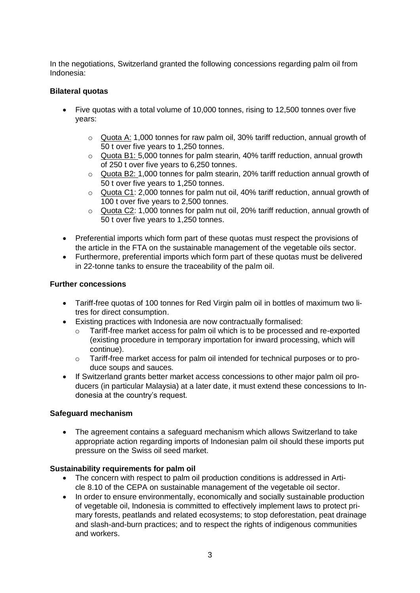In the negotiations, Switzerland granted the following concessions regarding palm oil from Indonesia:

#### **Bilateral quotas**

- Five quotas with a total volume of 10,000 tonnes, rising to 12,500 tonnes over five years:
	- o Quota A: 1,000 tonnes for raw palm oil, 30% tariff reduction, annual growth of 50 t over five years to 1,250 tonnes.
	- $\circ$  Quota B1: 5,000 tonnes for palm stearin, 40% tariff reduction, annual growth of 250 t over five years to 6,250 tonnes.
	- o Quota B2: 1,000 tonnes for palm stearin, 20% tariff reduction annual growth of 50 t over five years to 1,250 tonnes.
	- o Quota C1: 2,000 tonnes for palm nut oil, 40% tariff reduction, annual growth of 100 t over five years to 2,500 tonnes.
	- o Quota C2: 1,000 tonnes for palm nut oil, 20% tariff reduction, annual growth of 50 t over five years to 1,250 tonnes.
- Preferential imports which form part of these quotas must respect the provisions of the article in the FTA on the sustainable management of the vegetable oils sector.
- Furthermore, preferential imports which form part of these quotas must be delivered in 22-tonne tanks to ensure the traceability of the palm oil.

#### **Further concessions**

- Tariff-free quotas of 100 tonnes for Red Virgin palm oil in bottles of maximum two litres for direct consumption.
- Existing practices with Indonesia are now contractually formalised:
	- $\circ$  Tariff-free market access for palm oil which is to be processed and re-exported (existing procedure in temporary importation for inward processing, which will continue).
	- o Tariff-free market access for palm oil intended for technical purposes or to produce soups and sauces.
- If Switzerland grants better market access concessions to other major palm oil producers (in particular Malaysia) at a later date, it must extend these concessions to Indonesia at the country's request.

#### **Safeguard mechanism**

 The agreement contains a safeguard mechanism which allows Switzerland to take appropriate action regarding imports of Indonesian palm oil should these imports put pressure on the Swiss oil seed market.

#### **Sustainability requirements for palm oil**

- The concern with respect to palm oil production conditions is addressed in Article 8.10 of the CEPA on sustainable management of the vegetable oil sector.
- In order to ensure environmentally, economically and socially sustainable production of vegetable oil, Indonesia is committed to effectively implement laws to protect primary forests, peatlands and related ecosystems; to stop deforestation, peat drainage and slash-and-burn practices; and to respect the rights of indigenous communities and workers.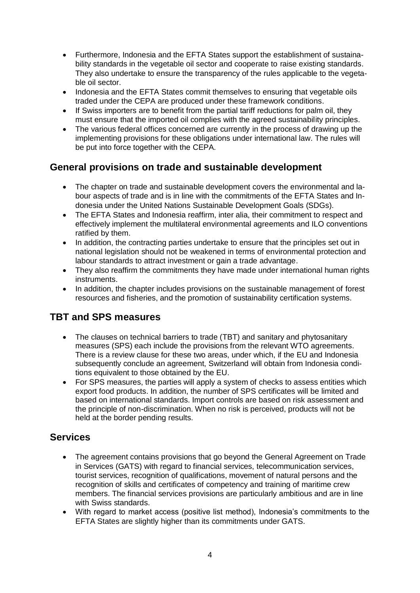- Furthermore, Indonesia and the EFTA States support the establishment of sustainability standards in the vegetable oil sector and cooperate to raise existing standards. They also undertake to ensure the transparency of the rules applicable to the vegetable oil sector.
- Indonesia and the EFTA States commit themselves to ensuring that vegetable oils traded under the CEPA are produced under these framework conditions.
- If Swiss importers are to benefit from the partial tariff reductions for palm oil, they must ensure that the imported oil complies with the agreed sustainability principles.
- The various federal offices concerned are currently in the process of drawing up the implementing provisions for these obligations under international law. The rules will be put into force together with the CEPA.

## **General provisions on trade and sustainable development**

- The chapter on trade and sustainable development covers the environmental and labour aspects of trade and is in line with the commitments of the EFTA States and Indonesia under the United Nations Sustainable Development Goals (SDGs).
- The EFTA States and Indonesia reaffirm, inter alia, their commitment to respect and effectively implement the multilateral environmental agreements and ILO conventions ratified by them.
- In addition, the contracting parties undertake to ensure that the principles set out in national legislation should not be weakened in terms of environmental protection and labour standards to attract investment or gain a trade advantage.
- They also reaffirm the commitments they have made under international human rights instruments.
- In addition, the chapter includes provisions on the sustainable management of forest resources and fisheries, and the promotion of sustainability certification systems.

## **TBT and SPS measures**

- The clauses on technical barriers to trade (TBT) and sanitary and phytosanitary measures (SPS) each include the provisions from the relevant WTO agreements. There is a review clause for these two areas, under which, if the EU and Indonesia subsequently conclude an agreement, Switzerland will obtain from Indonesia conditions equivalent to those obtained by the EU.
- For SPS measures, the parties will apply a system of checks to assess entities which export food products. In addition, the number of SPS certificates will be limited and based on international standards. Import controls are based on risk assessment and the principle of non-discrimination. When no risk is perceived, products will not be held at the border pending results.

## **Services**

- The agreement contains provisions that go beyond the General Agreement on Trade in Services (GATS) with regard to financial services, telecommunication services, tourist services, recognition of qualifications, movement of natural persons and the recognition of skills and certificates of competency and training of maritime crew members. The financial services provisions are particularly ambitious and are in line with Swiss standards.
- With regard to market access (positive list method), Indonesia's commitments to the EFTA States are slightly higher than its commitments under GATS.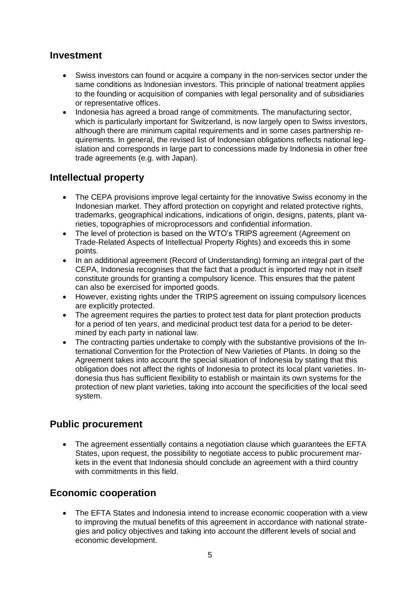## **Investment**

- Swiss investors can found or acquire a company in the non-services sector under the same conditions as Indonesian investors. This principle of national treatment applies to the founding or acquisition of companies with legal personality and of subsidiaries or representative offices.
- Indonesia has agreed a broad range of commitments. The manufacturing sector, which is particularly important for Switzerland, is now largely open to Swiss investors, although there are minimum capital requirements and in some cases partnership requirements. In general, the revised list of Indonesian obligations reflects national legislation and corresponds in large part to concessions made by Indonesia in other free trade agreements (e.g. with Japan).

## **Intellectual property**

- The CEPA provisions improve legal certainty for the innovative Swiss economy in the Indonesian market. They afford protection on copyright and related protective rights, trademarks, geographical indications, indications of origin, designs, patents, plant varieties, topographies of microprocessors and confidential information.
- The level of protection is based on the WTO's TRIPS agreement (Agreement on Trade-Related Aspects of Intellectual Property Rights) and exceeds this in some points.
- In an additional agreement (Record of Understanding) forming an integral part of the CEPA, Indonesia recognises that the fact that a product is imported may not in itself constitute grounds for granting a compulsory licence. This ensures that the patent can also be exercised for imported goods.
- However, existing rights under the TRIPS agreement on issuing compulsory licences are explicitly protected.
- The agreement requires the parties to protect test data for plant protection products for a period of ten years, and medicinal product test data for a period to be determined by each party in national law.
- The contracting parties undertake to comply with the substantive provisions of the International Convention for the Protection of New Varieties of Plants. In doing so the Agreement takes into account the special situation of Indonesia by stating that this obligation does not affect the rights of Indonesia to protect its local plant varieties. Indonesia thus has sufficient flexibility to establish or maintain its own systems for the protection of new plant varieties, taking into account the specificities of the local seed system.

## **Public procurement**

 The agreement essentially contains a negotiation clause which guarantees the EFTA States, upon request, the possibility to negotiate access to public procurement markets in the event that Indonesia should conclude an agreement with a third country with commitments in this field.

## **Economic cooperation**

 The EFTA States and Indonesia intend to increase economic cooperation with a view to improving the mutual benefits of this agreement in accordance with national strategies and policy objectives and taking into account the different levels of social and economic development.